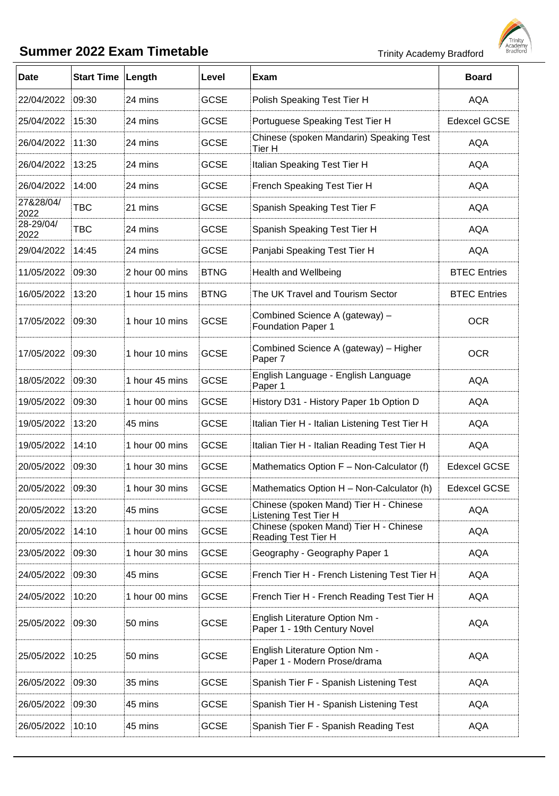## **Summer 2022 Exam Timetable** Trinity Academy Bradford



| <b>Date</b>       | <b>Start Time Length</b> |                | Level       | Exam                                                                   | <b>Board</b>        |
|-------------------|--------------------------|----------------|-------------|------------------------------------------------------------------------|---------------------|
| 22/04/2022        | 09:30                    | 24 mins        | <b>GCSE</b> | Polish Speaking Test Tier H                                            | <b>AQA</b>          |
| 25/04/2022        | 15:30                    | 24 mins        | <b>GCSE</b> | Portuguese Speaking Test Tier H                                        | <b>Edexcel GCSE</b> |
| 26/04/2022        | 11:30                    | 24 mins        | <b>GCSE</b> | Chinese (spoken Mandarin) Speaking Test<br>Tier H                      | <b>AQA</b>          |
| 26/04/2022        | 13:25                    | 24 mins        | <b>GCSE</b> | Italian Speaking Test Tier H                                           | <b>AQA</b>          |
| 26/04/2022        | 14:00                    | 24 mins        | <b>GCSE</b> | French Speaking Test Tier H                                            | <b>AQA</b>          |
| 27&28/04/<br>2022 | <b>TBC</b>               | 21 mins        | <b>GCSE</b> | Spanish Speaking Test Tier F                                           | <b>AQA</b>          |
| 28-29/04/<br>2022 | <b>TBC</b>               | 24 mins        | <b>GCSE</b> | Spanish Speaking Test Tier H                                           | <b>AQA</b>          |
| 29/04/2022        | 14:45                    | 24 mins        | <b>GCSE</b> | Panjabi Speaking Test Tier H                                           | <b>AQA</b>          |
| 11/05/2022        | 09:30                    | 2 hour 00 mins | <b>BTNG</b> | Health and Wellbeing                                                   | <b>BTEC Entries</b> |
| 16/05/2022        | 13:20                    | 1 hour 15 mins | <b>BTNG</b> | The UK Travel and Tourism Sector                                       | <b>BTEC Entries</b> |
| 17/05/2022        | 09:30                    | 1 hour 10 mins | <b>GCSE</b> | Combined Science A (gateway) -<br><b>Foundation Paper 1</b>            | <b>OCR</b>          |
| 17/05/2022        | 09:30                    | 1 hour 10 mins | <b>GCSE</b> | Combined Science A (gateway) - Higher<br>Paper 7                       | <b>OCR</b>          |
| 18/05/2022        | 09:30                    | 1 hour 45 mins | <b>GCSE</b> | English Language - English Language<br>Paper 1                         | <b>AQA</b>          |
| 19/05/2022        | 09:30                    | 1 hour 00 mins | <b>GCSE</b> | History D31 - History Paper 1b Option D                                | <b>AQA</b>          |
| 19/05/2022        | 13:20                    | 45 mins        | <b>GCSE</b> | Italian Tier H - Italian Listening Test Tier H                         | <b>AQA</b>          |
| 19/05/2022        | 14:10                    | 1 hour 00 mins | <b>GCSE</b> | Italian Tier H - Italian Reading Test Tier H                           | <b>AQA</b>          |
| 20/05/2022        | 09:30                    | 1 hour 30 mins | <b>GCSE</b> | Mathematics Option F - Non-Calculator (f)                              | <b>Edexcel GCSE</b> |
| 20/05/2022        | 09:30                    | 1 hour 30 mins | <b>GCSE</b> | Mathematics Option H - Non-Calculator (h)                              | <b>Edexcel GCSE</b> |
| 20/05/2022        | 13:20                    | 45 mins        | <b>GCSE</b> | Chinese (spoken Mand) Tier H - Chinese<br><b>Listening Test Tier H</b> | <b>AQA</b>          |
| 20/05/2022        | 14:10                    | 1 hour 00 mins | <b>GCSE</b> | Chinese (spoken Mand) Tier H - Chinese<br>Reading Test Tier H          | <b>AQA</b>          |
| 23/05/2022        | 09:30                    | 1 hour 30 mins | <b>GCSE</b> | Geography - Geography Paper 1                                          | <b>AQA</b>          |
| 24/05/2022        | 09:30                    | 45 mins        | <b>GCSE</b> | French Tier H - French Listening Test Tier H                           | <b>AQA</b>          |
| 24/05/2022        | 10:20                    | 1 hour 00 mins | <b>GCSE</b> | French Tier H - French Reading Test Tier H                             | <b>AQA</b>          |
| 25/05/2022        | 09:30                    | 50 mins        | <b>GCSE</b> | English Literature Option Nm -<br>Paper 1 - 19th Century Novel         | <b>AQA</b>          |
| 25/05/2022        | 10:25                    | 50 mins        | <b>GCSE</b> | English Literature Option Nm -<br>Paper 1 - Modern Prose/drama         | AQA                 |
| 26/05/2022        | 09:30                    | 35 mins        | <b>GCSE</b> | Spanish Tier F - Spanish Listening Test                                | <b>AQA</b>          |
| 26/05/2022        | 09:30                    | 45 mins        | <b>GCSE</b> | Spanish Tier H - Spanish Listening Test                                | <b>AQA</b>          |
| 26/05/2022        | 10:10                    | 45 mins        | <b>GCSE</b> | Spanish Tier F - Spanish Reading Test                                  | <b>AQA</b>          |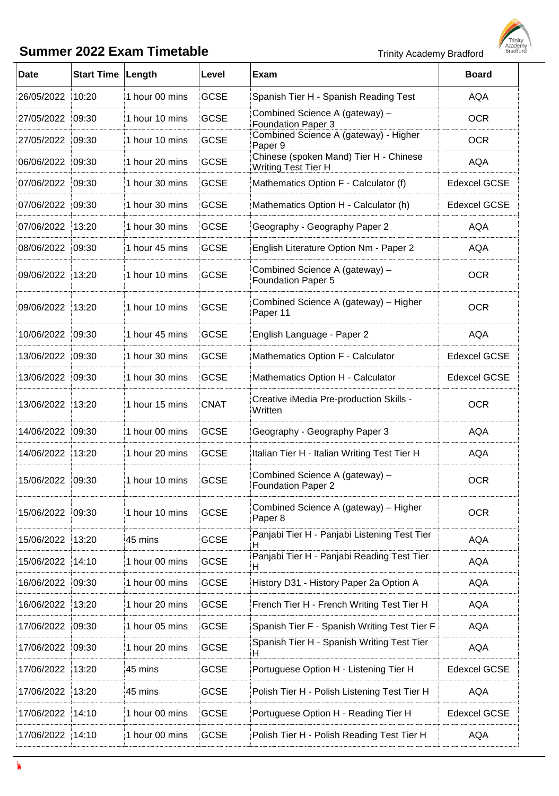l,



| <b>Date</b> | <b>Start Time</b> | Length         | Level       | Exam                                                                    | <b>Board</b>        |
|-------------|-------------------|----------------|-------------|-------------------------------------------------------------------------|---------------------|
|             |                   |                |             |                                                                         |                     |
| 26/05/2022  | 10:20             | 1 hour 00 mins | <b>GCSE</b> | Spanish Tier H - Spanish Reading Test<br>Combined Science A (gateway) - | <b>AQA</b>          |
| 27/05/2022  | 09:30             | 1 hour 10 mins | <b>GCSE</b> | <b>Foundation Paper 3</b>                                               | <b>OCR</b>          |
| 27/05/2022  | 09:30             | 1 hour 10 mins | <b>GCSE</b> | Combined Science A (gateway) - Higher<br>Paper 9                        | <b>OCR</b>          |
| 06/06/2022  | 09:30             | 1 hour 20 mins | <b>GCSE</b> | Chinese (spoken Mand) Tier H - Chinese<br>Writing Test Tier H           | <b>AQA</b>          |
| 07/06/2022  | 09:30             | 1 hour 30 mins | <b>GCSE</b> | Mathematics Option F - Calculator (f)                                   | <b>Edexcel GCSE</b> |
| 07/06/2022  | 09:30             | 1 hour 30 mins | <b>GCSE</b> | Mathematics Option H - Calculator (h)                                   | <b>Edexcel GCSE</b> |
| 07/06/2022  | 13:20             | 1 hour 30 mins | <b>GCSE</b> | Geography - Geography Paper 2                                           | <b>AQA</b>          |
| 08/06/2022  | 09:30             | 1 hour 45 mins | <b>GCSE</b> | English Literature Option Nm - Paper 2                                  | <b>AQA</b>          |
| 09/06/2022  | 13:20             | 1 hour 10 mins | <b>GCSE</b> | Combined Science A (gateway) -<br><b>Foundation Paper 5</b>             | <b>OCR</b>          |
| 09/06/2022  | 13:20             | 1 hour 10 mins | <b>GCSE</b> | Combined Science A (gateway) - Higher<br>Paper 11                       | <b>OCR</b>          |
| 10/06/2022  | 09:30             | 1 hour 45 mins | <b>GCSE</b> | English Language - Paper 2                                              | <b>AQA</b>          |
| 13/06/2022  | 09:30             | 1 hour 30 mins | <b>GCSE</b> | Mathematics Option F - Calculator                                       | <b>Edexcel GCSE</b> |
| 13/06/2022  | 09:30             | 1 hour 30 mins | <b>GCSE</b> | Mathematics Option H - Calculator                                       | <b>Edexcel GCSE</b> |
| 13/06/2022  | 13:20             | 1 hour 15 mins | <b>CNAT</b> | Creative iMedia Pre-production Skills -<br>Written                      | <b>OCR</b>          |
| 14/06/2022  | 09:30             | 1 hour 00 mins | <b>GCSE</b> | Geography - Geography Paper 3                                           | <b>AQA</b>          |
| 14/06/2022  | 13:20             | 1 hour 20 mins | <b>GCSE</b> | Italian Tier H - Italian Writing Test Tier H                            | <b>AQA</b>          |
| 15/06/2022  | 09:30             | 1 hour 10 mins | <b>GCSE</b> | Combined Science A (gateway) -<br><b>Foundation Paper 2</b>             | <b>OCR</b>          |
| 15/06/2022  | 09:30             | 1 hour 10 mins | <b>GCSE</b> | Combined Science A (gateway) - Higher<br>Paper 8                        | <b>OCR</b>          |
| 15/06/2022  | 13:20             | 45 mins        | <b>GCSE</b> | Panjabi Tier H - Panjabi Listening Test Tier                            | <b>AQA</b>          |
| 15/06/2022  | 14:10             | 1 hour 00 mins | <b>GCSE</b> | Panjabi Tier H - Panjabi Reading Test Tier<br>н                         | <b>AQA</b>          |
| 16/06/2022  | 09:30             | 1 hour 00 mins | <b>GCSE</b> | History D31 - History Paper 2a Option A                                 | <b>AQA</b>          |
| 16/06/2022  | 13:20             | 1 hour 20 mins | <b>GCSE</b> | French Tier H - French Writing Test Tier H                              | <b>AQA</b>          |
| 17/06/2022  | 09:30             | 1 hour 05 mins | <b>GCSE</b> | Spanish Tier F - Spanish Writing Test Tier F                            | <b>AQA</b>          |
| 17/06/2022  | 09:30             | 1 hour 20 mins | <b>GCSE</b> | Spanish Tier H - Spanish Writing Test Tier<br>H.                        | <b>AQA</b>          |
| 17/06/2022  | 13:20             | 45 mins        | <b>GCSE</b> | Portuguese Option H - Listening Tier H                                  | <b>Edexcel GCSE</b> |
| 17/06/2022  | 13:20             | 45 mins        | <b>GCSE</b> | Polish Tier H - Polish Listening Test Tier H                            | <b>AQA</b>          |
| 17/06/2022  | 14:10             | 1 hour 00 mins | <b>GCSE</b> | Portuguese Option H - Reading Tier H                                    | <b>Edexcel GCSE</b> |
| 17/06/2022  | 14:10             | 1 hour 00 mins | <b>GCSE</b> | Polish Tier H - Polish Reading Test Tier H                              | <b>AQA</b>          |